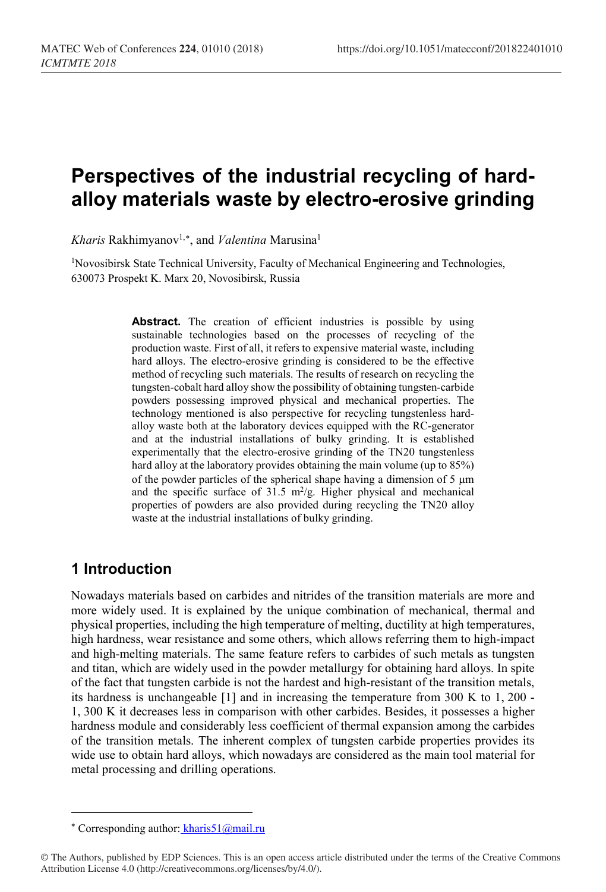# **Perspectives of the industrial recycling of hardalloy materials waste by electro-erosive grinding**

*Kharis* Rakhimyanov<sup>1,[∗](#page-0-0)</sup>, and *Valentina* Marusina<sup>1</sup>

<sup>1</sup>Novosibirsk State Technical University, Faculty of Mechanical Engineering and Technologies, 630073 Prospekt K. Marx 20, Novosibirsk, Russia

> Abstract. The creation of efficient industries is possible by using sustainable technologies based on the processes of recycling of the production waste. First of all, it refers to expensive material waste, including hard alloys. The electro-erosive grinding is considered to be the effective method of recycling such materials. The results of research on recycling the tungsten-cobalt hard alloy show the possibility of obtaining tungsten-carbide powders possessing improved physical and mechanical properties. The technology mentioned is also perspective for recycling tungstenless hardalloy waste both at the laboratory devices equipped with the RC-generator and at the industrial installations of bulky grinding. It is established experimentally that the electro-erosive grinding of the TN20 tungstenless hard alloy at the laboratory provides obtaining the main volume (up to 85%) of the powder particles of the spherical shape having a dimension of 5 µm and the specific surface of  $31.5 \text{ m}^2/\text{g}$ . Higher physical and mechanical properties of powders are also provided during recycling the TN20 alloy waste at the industrial installations of bulky grinding.

## **1 Introduction**

l

Nowadays materials based on carbides and nitrides of the transition materials are more and more widely used. It is explained by the unique combination of mechanical, thermal and physical properties, including the high temperature of melting, ductility at high temperatures, high hardness, wear resistance and some others, which allows referring them to high-impact and high-melting materials. The same feature refers to carbides of such metals as tungsten and titan, which are widely used in the powder metallurgy for obtaining hard alloys. In spite of the fact that tungsten carbide is not the hardest and high-resistant of the transition metals, its hardness is unchangeable [1] and in increasing the temperature from 300 K to 1, 200 - 1, 300 K it decreases less in comparison with other carbides. Besides, it possesses a higher hardness module and considerably less coefficient of thermal expansion among the carbides of the transition metals. The inherent complex of tungsten carbide properties provides its wide use to obtain hard alloys, which nowadays are considered as the main tool material for metal processing and drilling operations.

<sup>\*</sup> Corresponding author: kharis51@mail.ru

<span id="page-0-0"></span><sup>©</sup> The Authors, published by EDP Sciences. This is an open access article distributed under the terms of the Creative Commons Attribution License 4.0 (http://creativecommons.org/licenses/by/4.0/).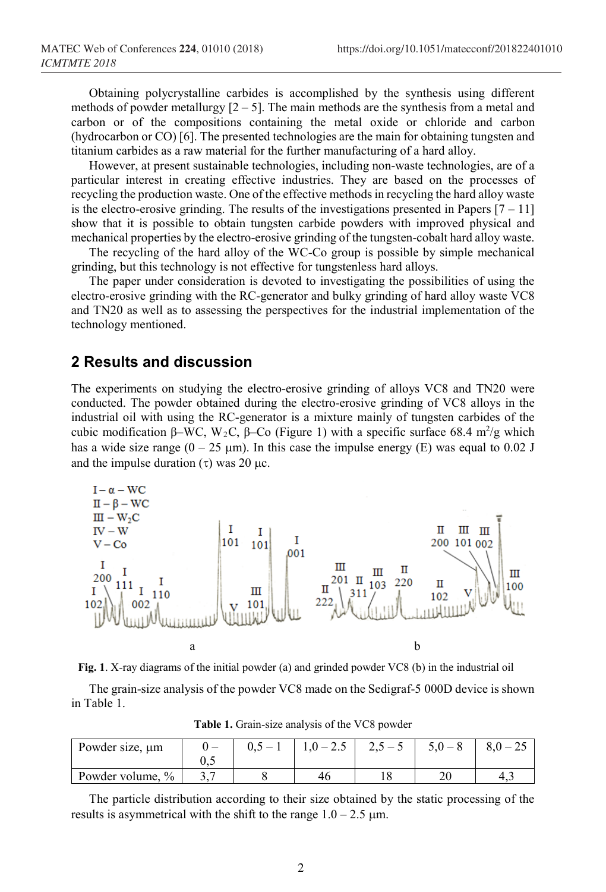Obtaining polycrystalline carbides is accomplished by the synthesis using different methods of powder metallurgy  $[2 - 5]$ . The main methods are the synthesis from a metal and carbon or of the compositions containing the metal oxide or chloride and carbon (hydrocarbon or CO) [6]. The presented technologies are the main for obtaining tungsten and titanium carbides as a raw material for the further manufacturing of a hard alloy.

However, at present sustainable technologies, including non-waste technologies, are of a particular interest in creating effective industries. They are based on the processes of recycling the production waste. One of the effective methods in recycling the hard alloy waste is the electro-erosive grinding. The results of the investigations presented in Papers  $[7 - 11]$ show that it is possible to obtain tungsten carbide powders with improved physical and mechanical properties by the electro-erosive grinding of the tungsten-cobalt hard alloy waste.

The recycling of the hard alloy of the WC-Co group is possible by simple mechanical grinding, but this technology is not effective for tungstenless hard alloys.

The paper under consideration is devoted to investigating the possibilities of using the electro-erosive grinding with the RC-generator and bulky grinding of hard alloy waste VC8 and TN20 as well as to assessing the perspectives for the industrial implementation of the technology mentioned.

#### **2 Results and discussion**

The experiments on studying the electro-erosive grinding of alloys VC8 and TN20 were conducted. The powder obtained during the electro-erosive grinding of VC8 alloys in the industrial oil with using the RC-generator is a mixture mainly of tungsten carbides of the cubic modification β–WC, W<sub>2</sub>C, β–Co (Figure 1) with a specific surface 68.4 m<sup>2</sup>/g which has a wide size range  $(0 - 25 \text{ }\mu\text{m})$ . In this case the impulse energy (E) was equal to 0.02 J and the impulse duration  $(\tau)$  was 20  $\mu$ c.





The grain-size analysis of the powder VC8 made on the Sedigraf-5 000D device is shown in Table 1.

| Powder size, $\mu$ m              |     | $0.5 - 1$ | $1,0-2.5$ | $2,5-5$ | $\delta$ , $U - \Delta$ |
|-----------------------------------|-----|-----------|-----------|---------|-------------------------|
|                                   | ∪.J |           |           |         |                         |
| $\frac{0}{0}$<br>Powder volume, 9 | ້   |           |           |         | 4.1                     |

**Table 1.** Grain-size analysis of the VC8 powder

The particle distribution according to their size obtained by the static processing of the results is asymmetrical with the shift to the range  $1.0 - 2.5 \text{ }\mu\text{m}$ .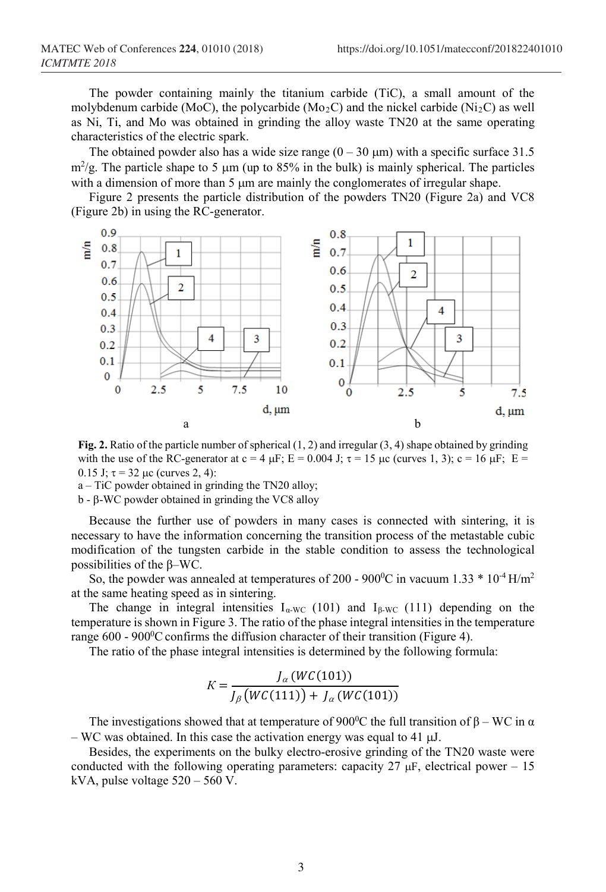The powder containing mainly the titanium carbide (TiC), a small amount of the molybdenum carbide (MoC), the polycarbide (Mo<sub>2</sub>C) and the nickel carbide (Ni<sub>2</sub>C) as well as Ni, Ti, and Mo was obtained in grinding the alloy waste TN20 at the same operating characteristics of the electric spark.

The obtained powder also has a wide size range  $(0 - 30 \,\mu\text{m})$  with a specific surface 31.5  $m^2/g$ . The particle shape to 5  $\mu$ m (up to 85% in the bulk) is mainly spherical. The particles with a dimension of more than 5  $\mu$ m are mainly the conglomerates of irregular shape.

Figure 2 presents the particle distribution of the powders TN20 (Figure 2a) and VC8 (Figure 2b) in using the RC-generator.



**Fig. 2.** Ratio of the particle number of spherical (1, 2) and irregular (3, 4) shape obtained by grinding with the use of the RC-generator at  $c = 4 \mu F$ ;  $E = 0.004$  J;  $\tau = 15 \mu c$  (curves 1, 3);  $c = 16 \mu F$ ;  $E =$ 0.15 J;  $\tau = 32 \mu c$  (curves 2, 4):

a – TiC powder obtained in grinding the TN20 alloy;

b - β-WC powder obtained in grinding the VC8 alloy

Because the further use of powders in many cases is connected with sintering, it is necessary to have the information concerning the transition process of the metastable cubic modification of the tungsten carbide in the stable condition to assess the technological possibilities of the β–WC.

So, the powder was annealed at temperatures of 200 - 900<sup>0</sup>C in vacuum 1.33  $*$  10<sup>-4</sup> H/m<sup>2</sup> at the same heating speed as in sintering.

The change in integral intensities  $I_{\alpha\text{-WC}}$  (101) and  $I_{\beta\text{-WC}}$  (111) depending on the temperature is shown in Figure 3. The ratio of the phase integral intensities in the temperature range 600 - 900<sup>0</sup>C confirms the diffusion character of their transition (Figure 4).

The ratio of the phase integral intensities is determined by the following formula:

$$
K = \frac{J_{\alpha}(WC(101))}{J_{\beta}(WC(111)) + J_{\alpha}(WC(101))}
$$

The investigations showed that at temperature of 900<sup>0</sup>C the full transition of  $\beta$  – WC in  $\alpha$ – WC was obtained. In this case the activation energy was equal to 41  $\mu$ J.

Besides, the experiments on the bulky electro-erosive grinding of the TN20 waste were conducted with the following operating parameters: capacity  $27 \mu$ F, electrical power – 15 kVA, pulse voltage 520 – 560 V.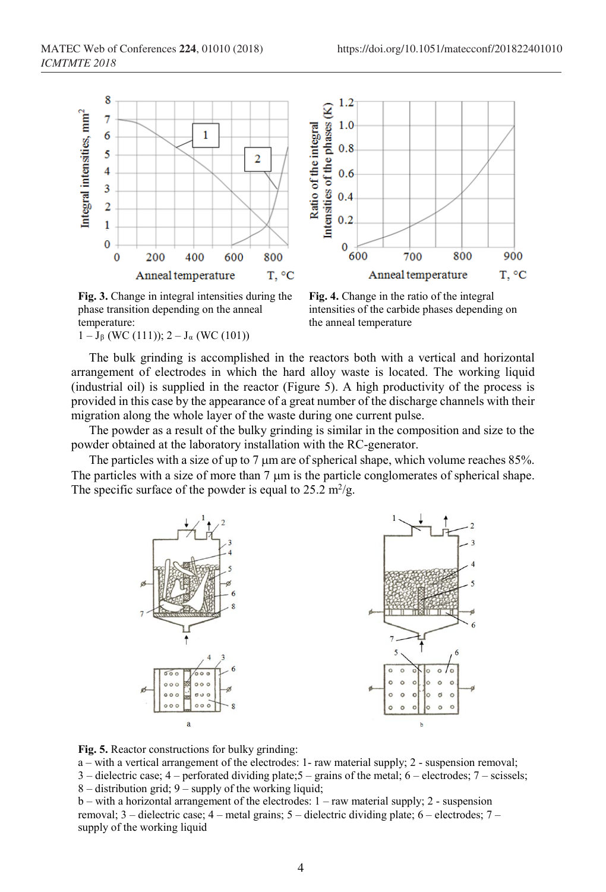

Intensities of the phases (K)  $0.6$  $0.4$  $0.2$  $\bf{0}$ 600 700 800 900 Anneal temperature T, °C

 $1.2$ 

 $1.0$ 

 $0.8$ 

**Fig. 3.** Change in integral intensities during the phase transition depending on the anneal temperature:

 $1 - J_{\beta}$  (WC (111));  $2 - J_{\alpha}$  (WC (101))

**Fig. 4.** Change in the ratio of the integral intensities of the carbide phases depending on the anneal temperature

The bulk grinding is accomplished in the reactors both with a vertical and horizontal arrangement of electrodes in which the hard alloy waste is located. The working liquid (industrial oil) is supplied in the reactor (Figure 5). A high productivity of the process is provided in this case by the appearance of a great number of the discharge channels with their migration along the whole layer of the waste during one current pulse.

The powder as a result of the bulky grinding is similar in the composition and size to the powder obtained at the laboratory installation with the RC-generator.

The particles with a size of up to 7  $\mu$ m are of spherical shape, which volume reaches 85%. The particles with a size of more than 7  $\mu$ m is the particle conglomerates of spherical shape. The specific surface of the powder is equal to  $25.2 \text{ m}^2/\text{g}$ .



**Fig. 5.** Reactor constructions for bulky grinding:

a – with a vertical arrangement of the electrodes: 1- raw material supply; 2 - suspension removal;  $3$  – dielectric case;  $4$  – perforated dividing plate;  $5$  – grains of the metal;  $6$  – electrodes;  $7$  – scissels; 8 – distribution grid; 9 – supply of the working liquid; b – with a horizontal arrangement of the electrodes: 1 – raw material supply; 2 - suspension

removal; 3 – dielectric case; 4 – metal grains; 5 – dielectric dividing plate; 6 – electrodes; 7 – supply of the working liquid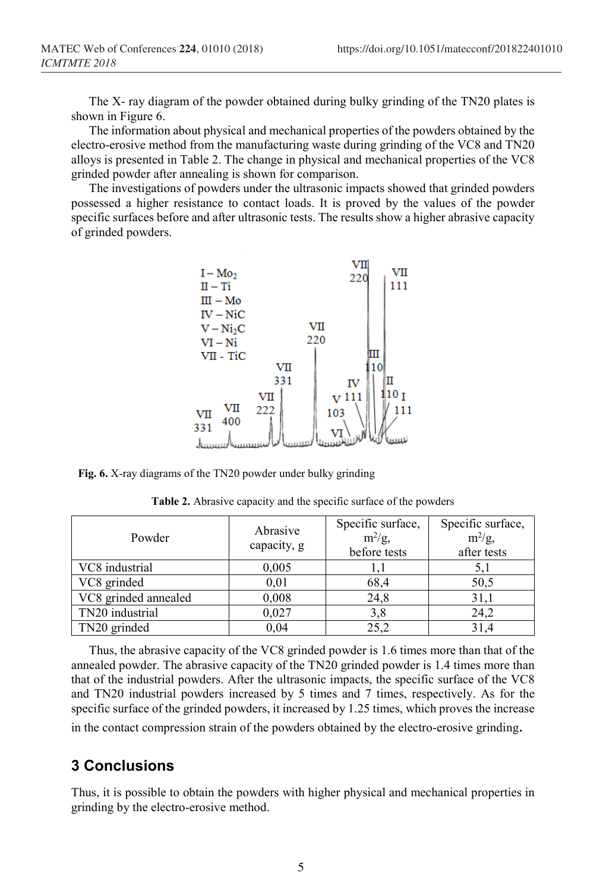The X- ray diagram of the powder obtained during bulky grinding of the TN20 plates is shown in Figure 6.

The information about physical and mechanical properties of the powders obtained by the electro-erosive method from the manufacturing waste during grinding of the VC8 and TN20 alloys is presented in Table 2. The change in physical and mechanical properties of the VC8 grinded powder after annealing is shown for comparison.

The investigations of powders under the ultrasonic impacts showed that grinded powders possessed a higher resistance to contact loads. It is proved by the values of the powder specific surfaces before and after ultrasonic tests. The results show a higher abrasive capacity of grinded powders.



**Fig. 6.** X-ray diagrams of the TN20 powder under bulky grinding

| Powder               | Abrasive<br>capacity, g | Specific surface,<br>$m^2/g$ ,<br>before tests | Specific surface,<br>$m^2/g$ ,<br>after tests |
|----------------------|-------------------------|------------------------------------------------|-----------------------------------------------|
| VC8 industrial       | 0,005                   |                                                | 5,1                                           |
| VC8 grinded          | 0,01                    | 68,4                                           | 50,5                                          |
| VC8 grinded annealed | 0,008                   | 24,8                                           | 31,1                                          |
| TN20 industrial      | 0,027                   | 3,8                                            | 24,2                                          |
| TN20 grinded         | 0.04                    | 25.2                                           | 31.4                                          |

**Table 2.** Abrasive capacity and the specific surface of the powders

Thus, the abrasive capacity of the VC8 grinded powder is 1.6 times more than that of the annealed powder. The abrasive capacity of the TN20 grinded powder is 1.4 times more than that of the industrial powders. After the ultrasonic impacts, the specific surface of the VC8 and TN20 industrial powders increased by 5 times and 7 times, respectively. As for the specific surface of the grinded powders, it increased by 1.25 times, which proves the increase in the contact compression strain of the powders obtained by the electro-erosive grinding.

## **3 Conclusions**

Thus, it is possible to obtain the powders with higher physical and mechanical properties in grinding by the electro-erosive method.